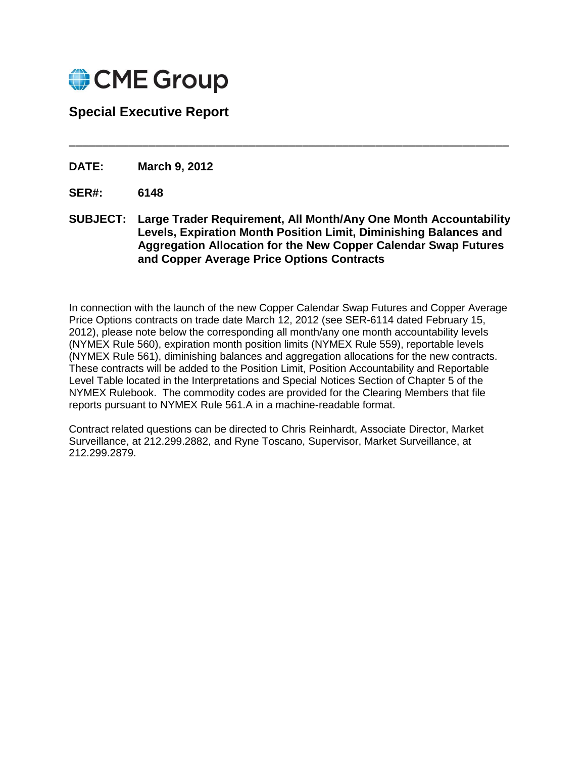

## **Special Executive Report**

**DATE: March 9, 2012**

- **SER#: 6148**
- **SUBJECT: Large Trader Requirement, All Month/Any One Month Accountability Levels, Expiration Month Position Limit, Diminishing Balances and Aggregation Allocation for the New Copper Calendar Swap Futures and Copper Average Price Options Contracts**

\_\_\_\_\_\_\_\_\_\_\_\_\_\_\_\_\_\_\_\_\_\_\_\_\_\_\_\_\_\_\_\_\_\_\_\_\_\_\_\_\_\_\_\_\_\_\_\_\_\_\_\_\_\_\_\_\_\_\_\_\_\_\_\_\_\_

In connection with the launch of the new Copper Calendar Swap Futures and Copper Average Price Options contracts on trade date March 12, 2012 (see SER-6114 dated February 15, 2012), please note below the corresponding all month/any one month accountability levels (NYMEX Rule 560), expiration month position limits (NYMEX Rule 559), reportable levels (NYMEX Rule 561), diminishing balances and aggregation allocations for the new contracts. These contracts will be added to the Position Limit, Position Accountability and Reportable Level Table located in the Interpretations and Special Notices Section of Chapter 5 of the NYMEX Rulebook. The commodity codes are provided for the Clearing Members that file reports pursuant to NYMEX Rule 561.A in a machine-readable format.

Contract related questions can be directed to Chris Reinhardt, Associate Director, Market Surveillance, at 212.299.2882, and Ryne Toscano, Supervisor, Market Surveillance, at 212.299.2879.